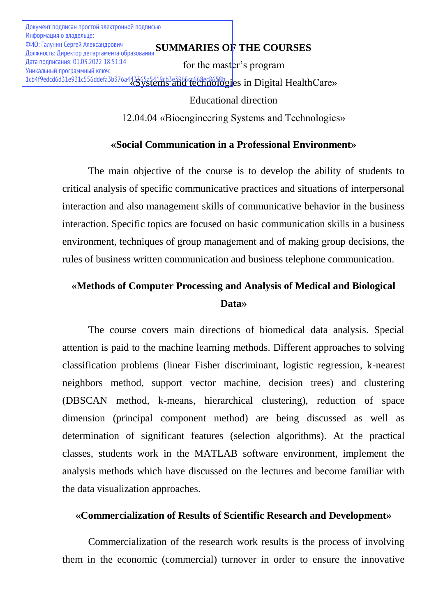**SUMMARIES OF THE COURSES** ФИО: Галунин Сергей Александрович Документ подписан простой электронной подписью Информация о владельце: Должность: Директор департамента образования Дата подписания: 01.03.2022 18:51:14 Уникальный программный ключ:

for the master's program 1cb4f9edcd6d31e931c556ddefa3b376a443365a5419cb3e3966cc668ec8658bgies in Digital HealthCare»

## Educational direction

12.04.04 «Bioengineering Systems and Technologies»

# **«Social Communication in a Professional Environment»**

The main objective of the course is to develop the ability of students to critical analysis of specific communicative practices and situations of interpersonal interaction and also management skills of communicative behavior in the business interaction. Specific topics are focused on basic communication skills in a business environment, techniques of group management and of making group decisions, the rules of business written communication and business telephone communication.

# **«Methods of Computer Processing and Analysis of Medical and Biological Data»**

The course covers main directions of biomedical data analysis. Special attention is paid to the machine learning methods. Different approaches to solving classification problems (linear Fisher discriminant, logistic regression, k-nearest neighbors method, support vector machine, decision trees) and clustering (DBSCAN method, k-means, hierarchical clustering), reduction of space dimension (principal component method) are being discussed as well as determination of significant features (selection algorithms). At the practical classes, students work in the MATLAB software environment, implement the analysis methods which have discussed on the lectures and become familiar with the data visualization approaches.

## **«Commercialization of Results of Scientific Research and Development»**

Commercialization of the research work results is the process of involving them in the economic (commercial) turnover in order to ensure the innovative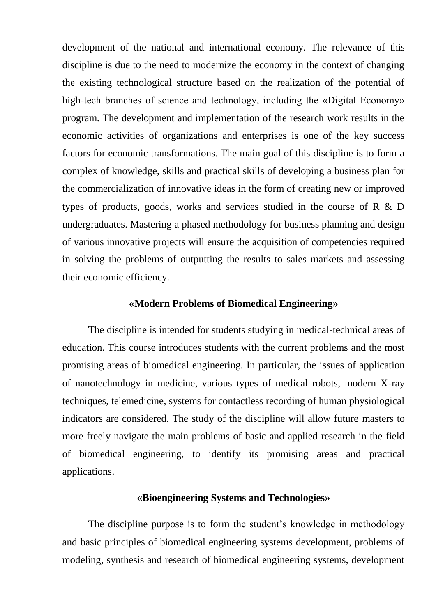development of the national and international economy. The relevance of this discipline is due to the need to modernize the economy in the context of changing the existing technological structure based on the realization of the potential of high-tech branches of science and technology, including the «Digital Economy» program. The development and implementation of the research work results in the economic activities of organizations and enterprises is one of the key success factors for economic transformations. The main goal of this discipline is to form a complex of knowledge, skills and practical skills of developing a business plan for the commercialization of innovative ideas in the form of creating new or improved types of products, goods, works and services studied in the course of R & D undergraduates. Mastering a phased methodology for business planning and design of various innovative projects will ensure the acquisition of competencies required in solving the problems of outputting the results to sales markets and assessing their economic efficiency.

#### **«Modern Problems of Biomedical Engineering»**

The discipline is intended for students studying in medical-technical areas of education. This course introduces students with the current problems and the most promising areas of biomedical engineering. In particular, the issues of application of nanotechnology in medicine, various types of medical robots, modern X-ray techniques, telemedicine, systems for contactless recording of human physiological indicators are considered. The study of the discipline will allow future masters to more freely navigate the main problems of basic and applied research in the field of biomedical engineering, to identify its promising areas and practical applications.

#### **«Bioengineering Systems and Technologies»**

The discipline purpose is to form the student's knowledge in methodology and basic principles of biomedical engineering systems development, problems of modeling, synthesis and research of biomedical engineering systems, development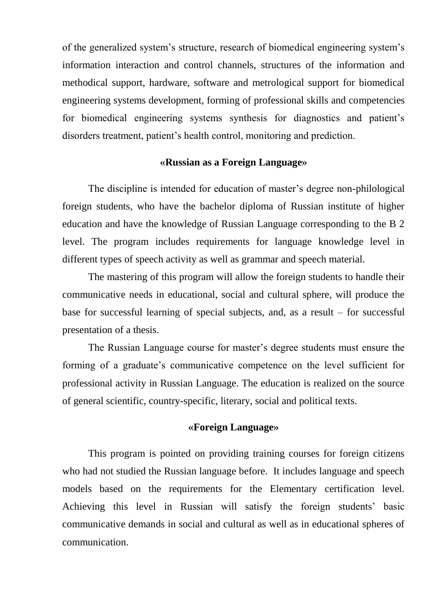of the generalized system's structure, research of biomedical engineering system's information interaction and control channels, structures of the information and methodical support, hardware, software and metrological support for biomedical engineering systems development, forming of professional skills and competencies for biomedical engineering systems synthesis for diagnostics and patient's disorders treatment, patient's health control, monitoring and prediction.

#### **«Russian as a Foreign Language»**

The discipline is intended for education of master's degree non-philological foreign students, who have the bachelor diploma of Russian institute of higher education and have the knowledge of Russian Language corresponding to the B 2 level. The program includes requirements for language knowledge level in different types of speech activity as well as grammar and speech material.

The mastering of this program will allow the foreign students to handle their communicative needs in educational, social and cultural sphere, will produce the base for successful learning of special subjects, and, as a result – for successful presentation of a thesis.

The Russian Language course for master's degree students must ensure the forming of a graduate's communicative competence on the level sufficient for professional activity in Russian Language. The education is realized on the source of general scientific, country-specific, literary, social and political texts.

#### **«Foreign Language»**

This program is pointed on providing training courses for foreign citizens who had not studied the Russian language before. It includes language and speech models based on the requirements for the Elementary certification level. Achieving this level in Russian will satisfy the foreign students' basic communicative demands in social and cultural as well as in educational spheres of communication.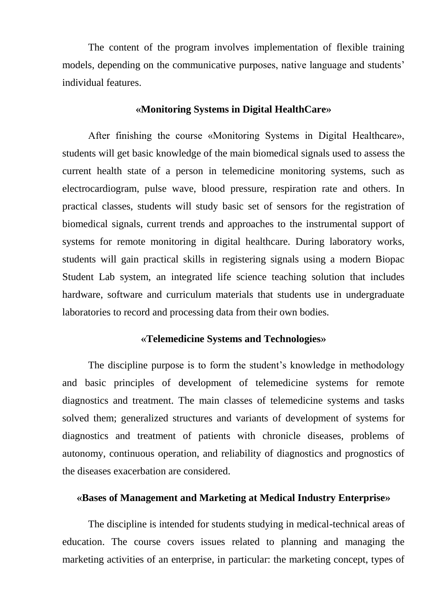The content of the program involves implementation of flexible training models, depending on the communicative purposes, native language and students' individual features.

#### **«Monitoring Systems in Digital HealthCare»**

After finishing the course «Monitoring Systems in Digital Healthcare», students will get basic knowledge of the main biomedical signals used to assess the current health state of a person in telemedicine monitoring systems, such as electrocardiogram, pulse wave, blood pressure, respiration rate and others. In practical classes, students will study basic set of sensors for the registration of biomedical signals, current trends and approaches to the instrumental support of systems for remote monitoring in digital healthcare. During laboratory works, students will gain practical skills in registering signals using a modern Biopac Student Lab system, an integrated life science teaching solution that includes hardware, software and curriculum materials that students use in undergraduate laboratories to record and processing data from their own bodies.

# **«Telemedicine Systems and Technologies»**

The discipline purpose is to form the student's knowledge in methodology and basic principles of development of telemedicine systems for remote diagnostics and treatment. The main classes of telemedicine systems and tasks solved them; generalized structures and variants of development of systems for diagnostics and treatment of patients with chronicle diseases, problems of autonomy, continuous operation, and reliability of diagnostics and prognostics of the diseases exacerbation are considered.

### **«Bases of Management and Marketing at Medical Industry Enterprise»**

The discipline is intended for students studying in medical-technical areas of education. The course covers issues related to planning and managing the marketing activities of an enterprise, in particular: the marketing concept, types of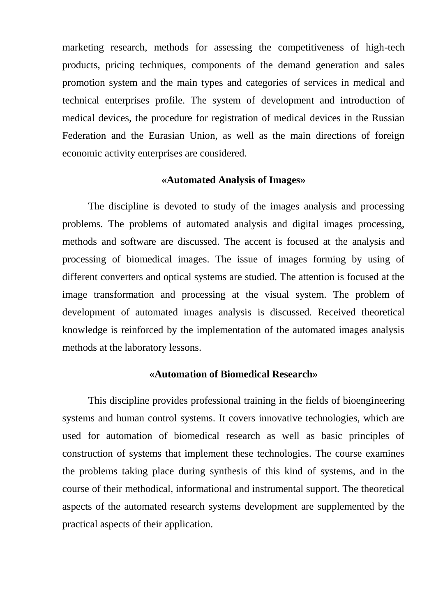marketing research, methods for assessing the competitiveness of high-tech products, pricing techniques, components of the demand generation and sales promotion system and the main types and categories of services in medical and technical enterprises profile. The system of development and introduction of medical devices, the procedure for registration of medical devices in the Russian Federation and the Eurasian Union, as well as the main directions of foreign economic activity enterprises are considered.

#### **«Automated Analysis of Images»**

The discipline is devoted to study of the images analysis and processing problems. The problems of automated analysis and digital images processing, methods and software are discussed. The accent is focused at the analysis and processing of biomedical images. The issue of images forming by using of different converters and optical systems are studied. The attention is focused at the image transformation and processing at the visual system. The problem of development of automated images analysis is discussed. Received theoretical knowledge is reinforced by the implementation of the automated images analysis methods at the laboratory lessons.

#### **«Automation of Biomedical Research»**

This discipline provides professional training in the fields of bioengineering systems and human control systems. It covers innovative technologies, which are used for automation of biomedical research as well as basic principles of construction of systems that implement these technologies. The course examines the problems taking place during synthesis of this kind of systems, and in the course of their methodical, informational and instrumental support. The theoretical aspects of the automated research systems development are supplemented by the practical aspects of their application.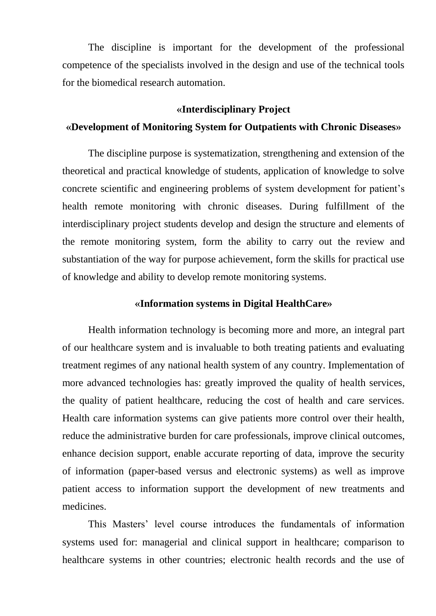The discipline is important for the development of the professional competence of the specialists involved in the design and use of the technical tools for the biomedical research automation.

#### **«Interdisciplinary Project**

### **«Development of Monitoring System for Outpatients with Chronic Diseases»**

The discipline purpose is systematization, strengthening and extension of the theoretical and practical knowledge of students, application of knowledge to solve concrete scientific and engineering problems of system development for patient's health remote monitoring with chronic diseases. During fulfillment of the interdisciplinary project students develop and design the structure and elements of the remote monitoring system, form the ability to carry out the review and substantiation of the way for purpose achievement, form the skills for practical use of knowledge and ability to develop remote monitoring systems.

#### **«Information systems in Digital HealthCare»**

Health information technology is becoming more and more, an integral part of our healthcare system and is invaluable to both treating patients and evaluating treatment regimes of any national health system of any country. Implementation of more advanced technologies has: greatly improved the quality of health services, the quality of patient healthcare, reducing the cost of health and care services. Health care information systems can give patients more control over their health, reduce the administrative burden for care professionals, improve clinical outcomes, enhance decision support, enable accurate reporting of data, improve the security of information (paper-based versus and electronic systems) as well as improve patient access to information support the development of new treatments and medicines.

This Masters' level course introduces the fundamentals of information systems used for: managerial and clinical support in healthcare; comparison to healthcare systems in other countries; electronic health records and the use of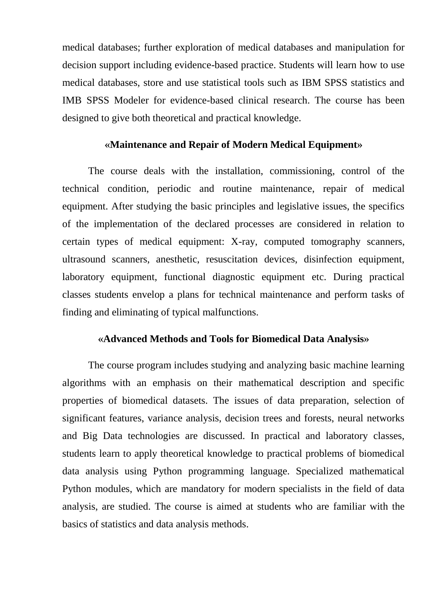medical databases; further exploration of medical databases and manipulation for decision support including evidence-based practice. Students will learn how to use medical databases, store and use statistical tools such as IBM SPSS statistics and IMB SPSS Modeler for evidence-based clinical research. The course has been designed to give both theoretical and practical knowledge.

#### **«Maintenance and Repair of Modern Medical Equipment»**

The course deals with the installation, commissioning, control of the technical condition, periodic and routine maintenance, repair of medical equipment. After studying the basic principles and legislative issues, the specifics of the implementation of the declared processes are considered in relation to certain types of medical equipment: X-ray, computed tomography scanners, ultrasound scanners, anesthetic, resuscitation devices, disinfection equipment, laboratory equipment, functional diagnostic equipment etc. During practical classes students envelop a plans for technical maintenance and perform tasks of finding and eliminating of typical malfunctions.

### **«Advanced Methods and Tools for Biomedical Data Analysis»**

The course program includes studying and analyzing basic machine learning algorithms with an emphasis on their mathematical description and specific properties of biomedical datasets. The issues of data preparation, selection of significant features, variance analysis, decision trees and forests, neural networks and Big Data technologies are discussed. In practical and laboratory classes, students learn to apply theoretical knowledge to practical problems of biomedical data analysis using Python programming language. Specialized mathematical Python modules, which are mandatory for modern specialists in the field of data analysis, are studied. The course is aimed at students who are familiar with the basics of statistics and data analysis methods.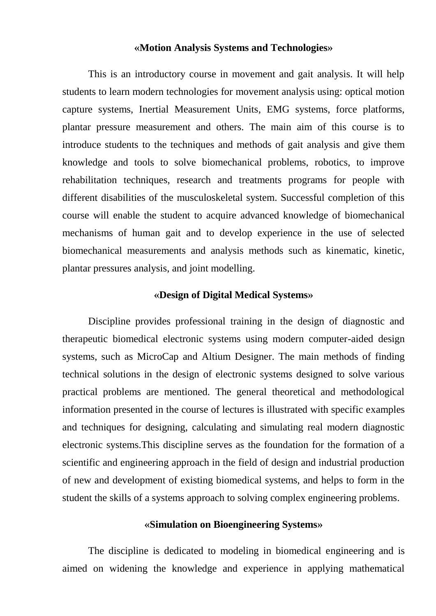#### **«Motion Analysis Systems and Technologies»**

This is an introductory course in movement and gait analysis. It will help students to learn modern technologies for movement analysis using: optical motion capture systems, Inertial Measurement Units, EMG systems, force platforms, plantar pressure measurement and others. The main aim of this course is to introduce students to the techniques and methods of gait analysis and give them knowledge and tools to solve biomechanical problems, robotics, to improve rehabilitation techniques, research and treatments programs for people with different disabilities of the musculoskeletal system. Successful completion of this course will enable the student to acquire advanced knowledge of biomechanical mechanisms of human gait and to develop experience in the use of selected biomechanical measurements and analysis methods such as kinematic, kinetic, plantar pressures analysis, and joint modelling.

#### **«Design of Digital Medical Systems»**

Discipline provides professional training in the design of diagnostic and therapeutic biomedical electronic systems using modern computer-aided design systems, such as MicroCap and Altium Designer. The main methods of finding technical solutions in the design of electronic systems designed to solve various practical problems are mentioned. The general theoretical and methodological information presented in the course of lectures is illustrated with specific examples and techniques for designing, calculating and simulating real modern diagnostic electronic systems.This discipline serves as the foundation for the formation of a scientific and engineering approach in the field of design and industrial production of new and development of existing biomedical systems, and helps to form in the student the skills of a systems approach to solving complex engineering problems.

#### **«Simulation on Bioengineering Systems»**

The discipline is dedicated to modeling in biomedical engineering and is aimed on widening the knowledge and experience in applying mathematical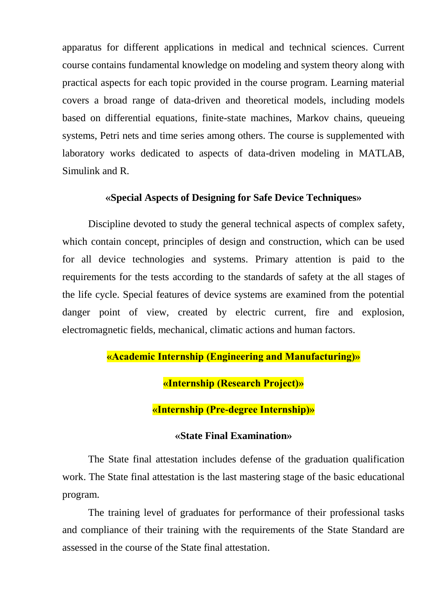apparatus for different applications in medical and technical sciences. Current course contains fundamental knowledge on modeling and system theory along with practical aspects for each topic provided in the course program. Learning material covers a broad range of data-driven and theoretical models, including models based on differential equations, finite-state machines, Markov chains, queueing systems, Petri nets and time series among others. The course is supplemented with laboratory works dedicated to aspects of data-driven modeling in MATLAB, Simulink and R.

#### **«Special Aspects of Designing for Safe Device Techniques»**

Discipline devoted to study the general technical aspects of complex safety, which contain concept, principles of design and construction, which can be used for all device technologies and systems. Primary attention is paid to the requirements for the tests according to the standards of safety at the all stages of the life cycle. Special features of device systems are examined from the potential danger point of view, created by electric current, fire and explosion, electromagnetic fields, mechanical, climatic actions and human factors.

# **«Academic Internship (Engineering and Manufacturing)»**

**«Internship (Research Project)»**

**«Internship (Pre-degree Internship)»**

#### **«State Final Examination»**

The State final attestation includes defense of the graduation qualification work. The State final attestation is the last mastering stage of the basic educational program.

The training level of graduates for performance of their professional tasks and compliance of their training with the requirements of the State Standard are assessed in the course of the State final attestation.